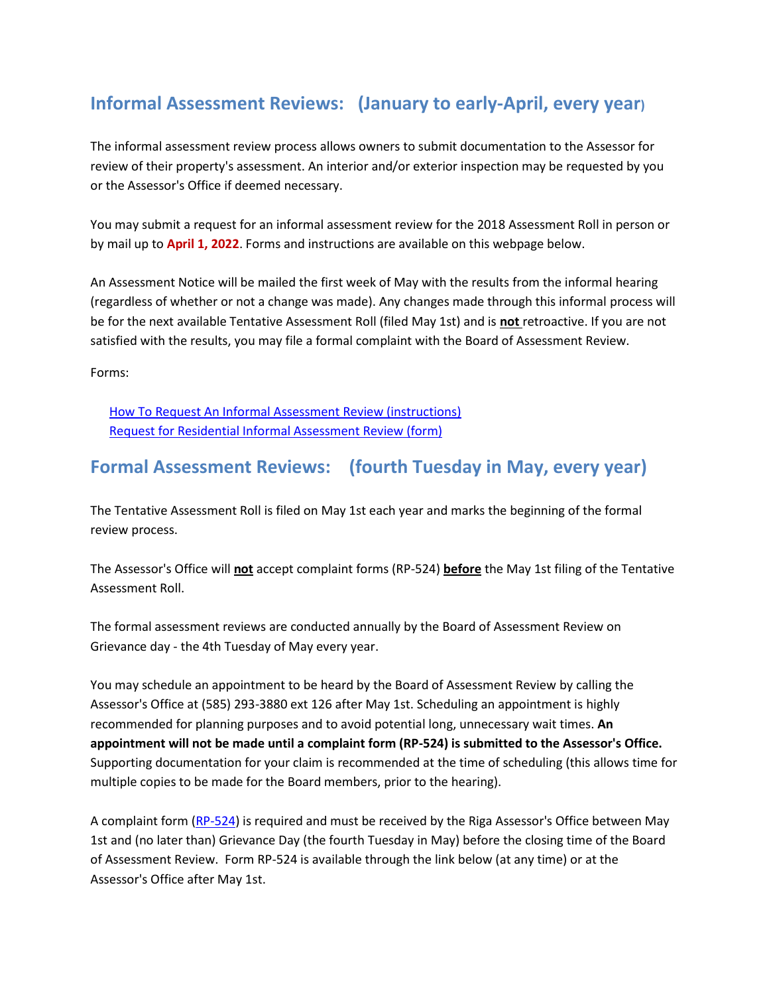## **Informal Assessment Reviews: (January to early-April, every year)**

The informal assessment review process allows owners to submit documentation to the Assessor for review of their property's assessment. An interior and/or exterior inspection may be requested by you or the Assessor's Office if deemed necessary.

You may submit a request for an informal assessment review for the 2018 Assessment Roll in person or by mail up to **April 1, 2022**. Forms and instructions are available on this webpage below.

An Assessment Notice will be mailed the first week of May with the results from the informal hearing (regardless of whether or not a change was made). Any changes made through this informal process will be for the next available Tentative Assessment Roll (filed May 1st) and is **not** retroactive. If you are not satisfied with the results, you may file a formal complaint with the Board of Assessment Review.

Forms:

[How To Request An Informal Assessment Review \(instructions\)](http://www.ogdenny.com/Portals/0/Documents/Assessor/2017-How%20To%20Request%20an%20Informal%20Assessment%20Review.pdf) [Request for Residential Informal Assessment Review \(form\)](http://www.ogdenny.com/Portals/0/Documents/Assessor/2017-Form-Request%20for%20Residential%20Informal%20Assessment%20Review.pdf)

## **Formal Assessment Reviews: (fourth Tuesday in May, every year)**

The Tentative Assessment Roll is filed on May 1st each year and marks the beginning of the formal review process.

The Assessor's Office will **not** accept complaint forms (RP-524) **before** the May 1st filing of the Tentative Assessment Roll.

The formal assessment reviews are conducted annually by the Board of Assessment Review on Grievance day - the 4th Tuesday of May every year.

You may schedule an appointment to be heard by the Board of Assessment Review by calling the Assessor's Office at (585) 293-3880 ext 126 after May 1st. Scheduling an appointment is highly recommended for planning purposes and to avoid potential long, unnecessary wait times. **An appointment will not be made until a complaint form (RP-524) is submitted to the Assessor's Office.** Supporting documentation for your claim is recommended at the time of scheduling (this allows time for multiple copies to be made for the Board members, prior to the hearing).

A complaint form [\(RP-524\)](http://www.tax.ny.gov/pdf/current_forms/orpts/rp524_fill_in.pdf) is required and must be received by the Riga Assessor's Office between May 1st and (no later than) Grievance Day (the fourth Tuesday in May) before the closing time of the Board of Assessment Review. Form RP-524 is available through the link below (at any time) or at the Assessor's Office after May 1st.